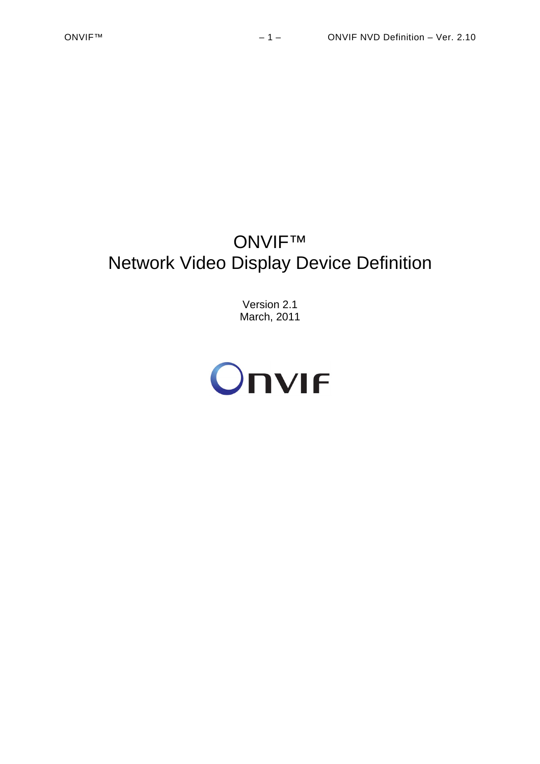# ONVIF™ Network Video Display Device Definition

Version 2.1 March, 2011

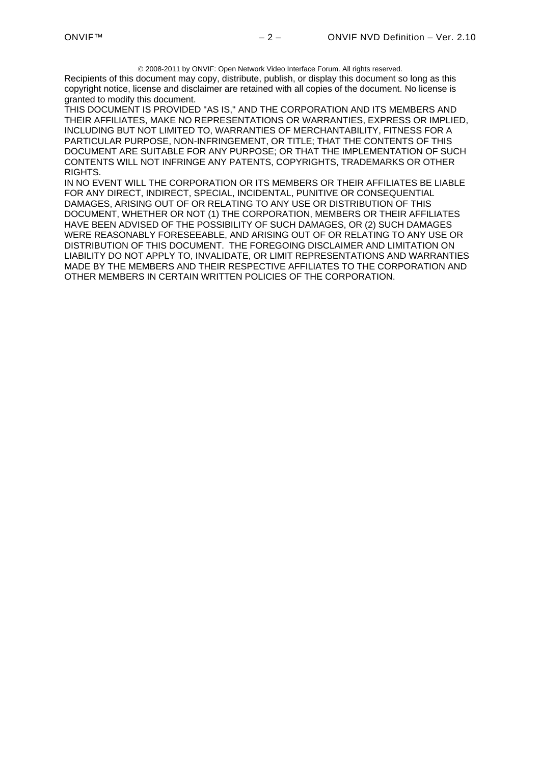2008-2011 by ONVIF: Open Network Video Interface Forum. All rights reserved.

Recipients of this document may copy, distribute, publish, or display this document so long as this copyright notice, license and disclaimer are retained with all copies of the document. No license is granted to modify this document.

THIS DOCUMENT IS PROVIDED "AS IS," AND THE CORPORATION AND ITS MEMBERS AND THEIR AFFILIATES, MAKE NO REPRESENTATIONS OR WARRANTIES, EXPRESS OR IMPLIED, INCLUDING BUT NOT LIMITED TO, WARRANTIES OF MERCHANTABILITY, FITNESS FOR A PARTICULAR PURPOSE, NON-INFRINGEMENT, OR TITLE; THAT THE CONTENTS OF THIS DOCUMENT ARE SUITABLE FOR ANY PURPOSE; OR THAT THE IMPLEMENTATION OF SUCH CONTENTS WILL NOT INFRINGE ANY PATENTS, COPYRIGHTS, TRADEMARKS OR OTHER RIGHTS.

IN NO EVENT WILL THE CORPORATION OR ITS MEMBERS OR THEIR AFFILIATES BE LIABLE FOR ANY DIRECT, INDIRECT, SPECIAL, INCIDENTAL, PUNITIVE OR CONSEQUENTIAL DAMAGES, ARISING OUT OF OR RELATING TO ANY USE OR DISTRIBUTION OF THIS DOCUMENT, WHETHER OR NOT (1) THE CORPORATION, MEMBERS OR THEIR AFFILIATES HAVE BEEN ADVISED OF THE POSSIBILITY OF SUCH DAMAGES, OR (2) SUCH DAMAGES WERE REASONABLY FORESEEABLE, AND ARISING OUT OF OR RELATING TO ANY USE OR DISTRIBUTION OF THIS DOCUMENT. THE FOREGOING DISCLAIMER AND LIMITATION ON LIABILITY DO NOT APPLY TO, INVALIDATE, OR LIMIT REPRESENTATIONS AND WARRANTIES MADE BY THE MEMBERS AND THEIR RESPECTIVE AFFILIATES TO THE CORPORATION AND OTHER MEMBERS IN CERTAIN WRITTEN POLICIES OF THE CORPORATION.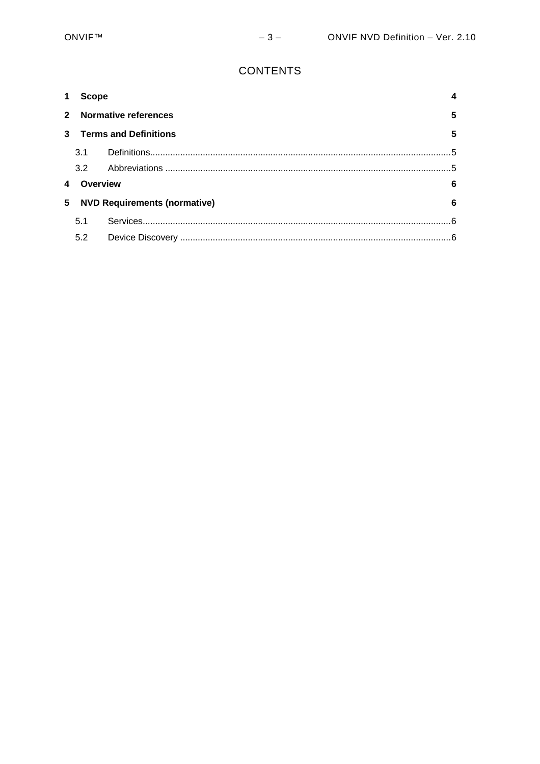# **CONTENTS**

| 1           |                                          | <b>Scope</b>              |            |
|-------------|------------------------------------------|---------------------------|------------|
| $2^{\circ}$ |                                          | 5<br>Normative references |            |
| 3           | <b>Terms and Definitions</b>             |                           | 5          |
|             | 3.1                                      |                           | _ 5        |
|             | 3.2                                      |                           |            |
|             | Overview<br>6                            |                           |            |
| 5           | <b>NVD Requirements (normative)</b><br>6 |                           |            |
|             | 5.1                                      |                           | $\epsilon$ |
|             | 5.2                                      |                           | .6         |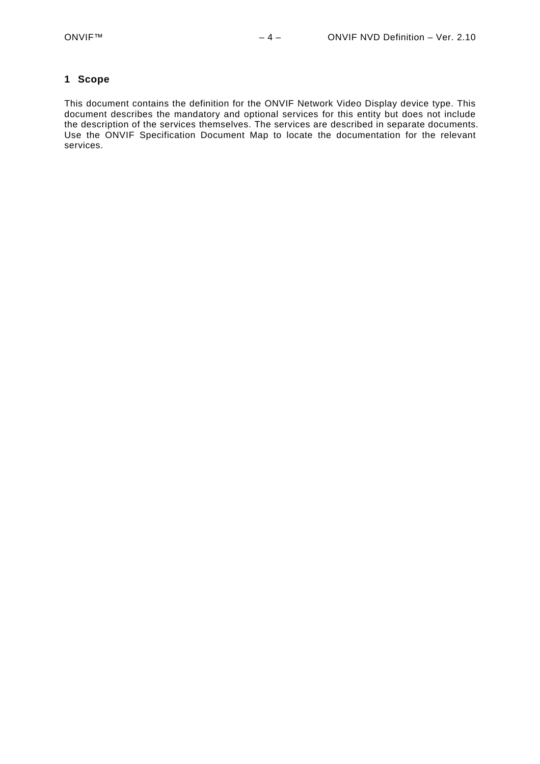#### <span id="page-3-0"></span>**1 Scope**

This document contains the definition for the ONVIF Network Video Display device type. This document describes the mandatory and optional services for this entity but does not include the description of the services themselves. The services are described in separate documents. Use the ONVIF Specification Document Map to locate the documentation for the relevant services.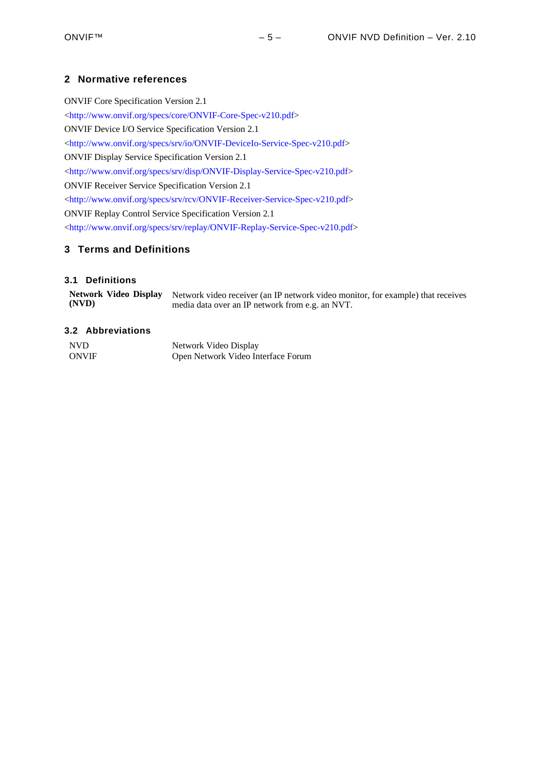# <span id="page-4-0"></span>**2 Normative references**

ONVIF Core Specification Version 2.1 <<http://www.onvif.org/specs/core/ONVIF-Core-Spec-v210.pdf>> ONVIF Device I/O Service Specification Version 2.1 <<http://www.onvif.org/specs/srv/io/ONVIF-DeviceIo-Service-Spec-v210.pdf>> ONVIF Display Service Specification Version 2.1 <<http://www.onvif.org/specs/srv/disp/ONVIF-Display-Service-Spec-v210.pdf>> ONVIF Receiver Service Specification Version 2.1 <[http://www.onvif.org/specs/srv/rcv/ONVIF-Receiver-Service-Spec-v210.pdf>](http://www.onvif.org/specs/srv/rcv/ONVIF-Receiver-Service-Spec-v210.pdf) ONVIF Replay Control Service Specification Version 2.1 <[http://www.onvif.org/specs/srv/replay/ONVIF-Replay-Service-Spec-v210.pdf>](http://www.onvif.org/specs/srv/replay/ONVIF-Replay-Service-Spec-v210.pdf)

# <span id="page-4-1"></span>**3 Terms and Definitions**

# <span id="page-4-2"></span>**3.1 Definitions**

|       | Network Video Display Network video receiver (an IP network video monitor, for example) that receives |
|-------|-------------------------------------------------------------------------------------------------------|
| (NVD) | media data over an IP network from e.g. an NVT.                                                       |

# <span id="page-4-3"></span>**3.2 Abbreviations**

| NV <sub>D</sub> | Network Video Display              |
|-----------------|------------------------------------|
| <b>ONVIF</b>    | Open Network Video Interface Forum |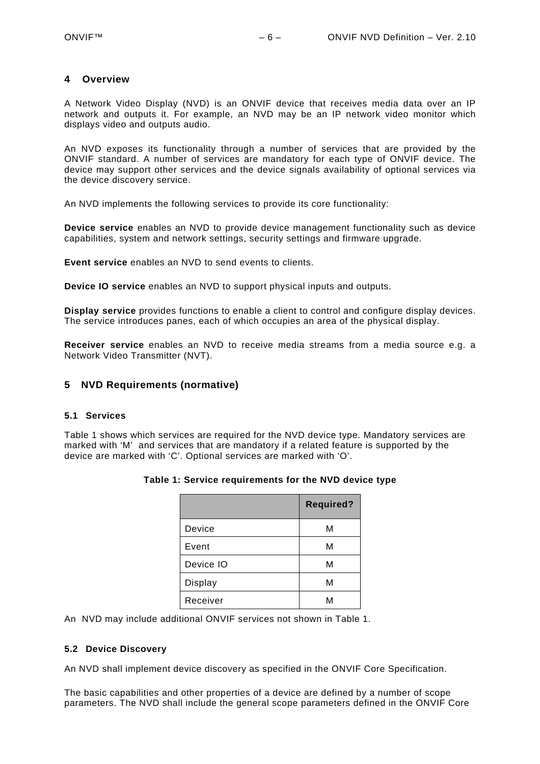# <span id="page-5-0"></span>**4 Overview**

A Network Video Display (NVD) is an ONVIF device that receives media data over an IP network and outputs it. For example, an NVD may be an IP network video monitor which displays video and outputs audio.

An NVD exposes its functionality through a number of services that are provided by the ONVIF standard. A number of services are mandatory for each type of ONVIF device. The device may support other services and the device signals availability of optional services via the device discovery service.

An NVD implements the following services to provide its core functionality:

**Device service** enables an NVD to provide device management functionality such as device capabilities, system and network settings, security settings and firmware upgrade.

**Event service** enables an NVD to send events to clients.

**Device IO service** enables an NVD to support physical inputs and outputs.

**Display service** provides functions to enable a client to control and configure display devices. The service introduces panes, each of which occupies an area of the physical display.

**Receiver service** enables an NVD to receive media streams from a media source e.g. a Network Video Transmitter (NVT).

# <span id="page-5-1"></span>**5 NVD Requirements (normative)**

# <span id="page-5-2"></span>**5.1 Services**

<span id="page-5-4"></span>[Table 1](#page-5-4) shows which services are required for the NVD device type. Mandatory services are marked with 'M' and services that are mandatory if a related feature is supported by the device are marked with 'C'. Optional services are marked with 'O'.

|           | <b>Required?</b> |
|-----------|------------------|
| Device    | М                |
| Event     | М                |
| Device IO | М                |
| Display   | М                |
| Receiver  | м                |

# **Table 1: Service requirements for the NVD device type**

An NVD may include additional ONVIF services not shown in [Table 1.](#page-5-4)

# <span id="page-5-3"></span>**5.2 Device Discovery**

An NVD shall implement device discovery as specified in the ONVIF Core Specification.

The basic capabilities and other properties of a device are defined by a number of scope parameters. The NVD shall include the general scope parameters defined in the ONVIF Core